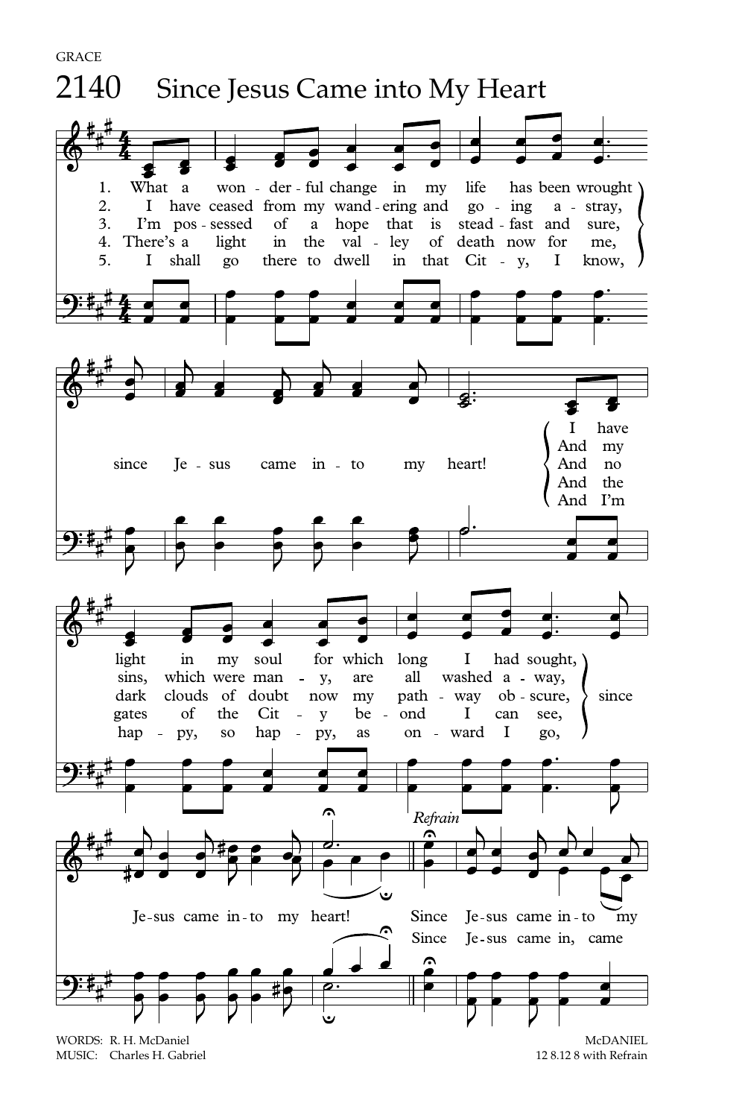

MUSIC: Charles H. Gabriel